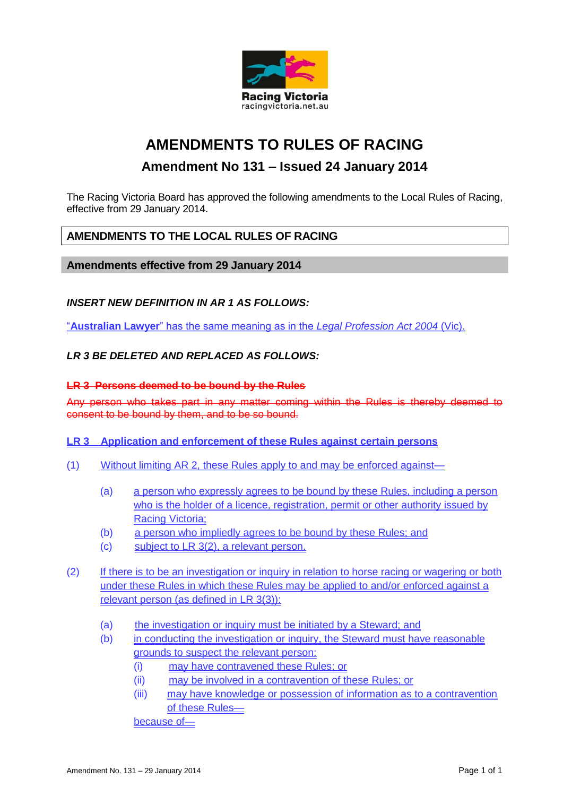

# **AMENDMENTS TO RULES OF RACING**

# **Amendment No 131 – Issued 24 January 2014**

The Racing Victoria Board has approved the following amendments to the Local Rules of Racing, effective from 29 January 2014.

## **AMENDMENTS TO THE LOCAL RULES OF RACING**

#### **Amendments effective from 29 January 2014**

#### *INSERT NEW DEFINITION IN AR 1 AS FOLLOWS:*

"**Australian Lawyer**" has the same meaning as in the *Legal Profession Act 2004* (Vic).

#### *LR 3 BE DELETED AND REPLACED AS FOLLOWS:*

#### **LR 3 Persons deemed to be bound by the Rules**

Any person who takes part in any matter coming within the Rules is thereby deemed to consent to be bound by them, and to be so bound.

#### **LR 3 Application and enforcement of these Rules against certain persons**

- (1) Without limiting AR 2, these Rules apply to and may be enforced against—
	- (a) a person who expressly agrees to be bound by these Rules, including a person who is the holder of a licence, registration, permit or other authority issued by Racing Victoria;
	- (b) a person who impliedly agrees to be bound by these Rules; and
	- (c) subject to LR 3(2), a relevant person.
- (2) If there is to be an investigation or inquiry in relation to horse racing or wagering or both under these Rules in which these Rules may be applied to and/or enforced against a relevant person (as defined in LR 3(3)):
	- (a) the investigation or inquiry must be initiated by a Steward; and
	- (b) in conducting the investigation or inquiry, the Steward must have reasonable grounds to suspect the relevant person:
		- (i) may have contravened these Rules; or
		- (ii) may be involved in a contravention of these Rules; or
		- (iii) may have knowledge or possession of information as to a contravention of these Rules—

because of—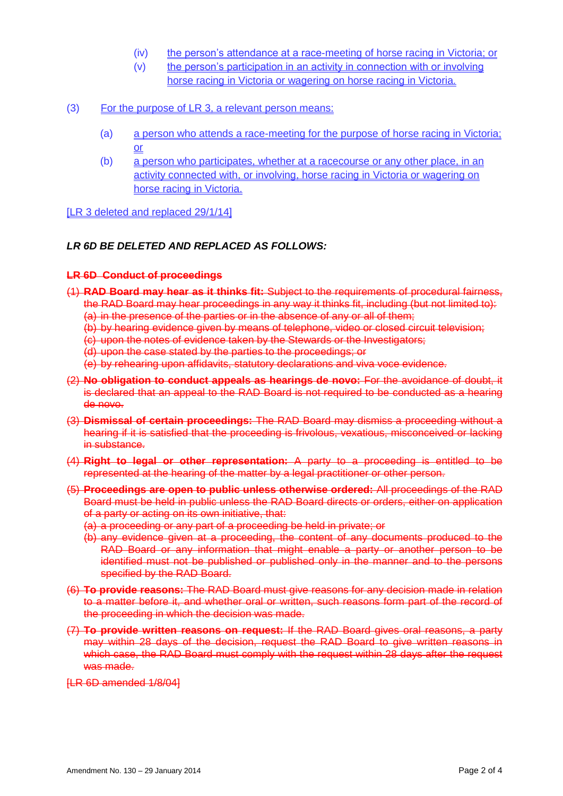- (iv) the person's attendance at a race-meeting of horse racing in Victoria; or
- (v) the person's participation in an activity in connection with or involving horse racing in Victoria or wagering on horse racing in Victoria.
- (3) For the purpose of LR 3, a relevant person means:
	- (a) a person who attends a race-meeting for the purpose of horse racing in Victoria; or
	- (b) a person who participates, whether at a racecourse or any other place, in an activity connected with, or involving, horse racing in Victoria or wagering on horse racing in Victoria.

#### [LR 3 deleted and replaced 29/1/14]

#### *LR 6D BE DELETED AND REPLACED AS FOLLOWS:*

#### **LR 6D Conduct of proceedings**

- (1) **RAD Board may hear as it thinks fit:** Subject to the requirements of procedural fairness, the RAD Board may hear proceedings in any way it thinks fit, including (but not limited to): (a) in the presence of the parties or in the absence of any or all of them;
	- (b) by hearing evidence given by means of telephone, video or closed circuit television;
	- (c) upon the notes of evidence taken by the Stewards or the Investigators;
	- (d) upon the case stated by the parties to the proceedings; or
	- (e) by rehearing upon affidavits, statutory declarations and viva voce evidence.
- (2) **No obligation to conduct appeals as hearings de novo:** For the avoidance of doubt, it is declared that an appeal to the RAD Board is not required to be conducted as a hearing de novo.
- (3) **Dismissal of certain proceedings:** The RAD Board may dismiss a proceeding without a hearing if it is satisfied that the proceeding is frivolous, vexatious, misconceived or lacking in substance.
- (4) **Right to legal or other representation:** A party to a proceeding is entitled to be represented at the hearing of the matter by a legal practitioner or other person.
- (5) **Proceedings are open to public unless otherwise ordered:** All proceedings of the RAD Board must be held in public unless the RAD Board directs or orders, either on application of a party or acting on its own initiative, that:
	- (a) a proceeding or any part of a proceeding be held in private; or
	- (b) any evidence given at a proceeding, the content of any documents produced to the RAD Board or any information that might enable a party or another person to be identified must not be published or published only in the manner and to the persons specified by the RAD Board.
- (6) **To provide reasons:** The RAD Board must give reasons for any decision made in relation to a matter before it, and whether oral or written, such reasons form part of the record of the proceeding in which the decision was made.
- (7) **To provide written reasons on request:** If the RAD Board gives oral reasons, a party may within 28 days of the decision, request the RAD Board to give written reasons in which case, the RAD Board must comply with the request within 28 days after the request was made.

[LR 6D amended 1/8/04]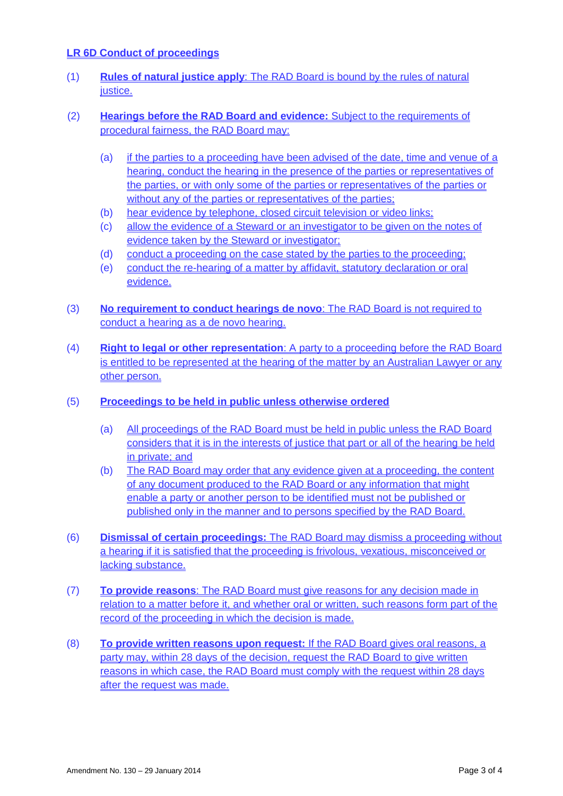### **LR 6D Conduct of proceedings**

- (1) **Rules of natural justice apply**: The RAD Board is bound by the rules of natural justice.
- (2) **Hearings before the RAD Board and evidence:** Subject to the requirements of procedural fairness, the RAD Board may:
	- (a) if the parties to a proceeding have been advised of the date, time and venue of a hearing, conduct the hearing in the presence of the parties or representatives of the parties, or with only some of the parties or representatives of the parties or without any of the parties or representatives of the parties;
	- (b) hear evidence by telephone, closed circuit television or video links;
	- (c) allow the evidence of a Steward or an investigator to be given on the notes of evidence taken by the Steward or investigator;
	- (d) conduct a proceeding on the case stated by the parties to the proceeding;
	- (e) conduct the re-hearing of a matter by affidavit, statutory declaration or oral evidence.
- (3) **No requirement to conduct hearings de novo**: The RAD Board is not required to conduct a hearing as a de novo hearing.
- (4) **Right to legal or other representation**: A party to a proceeding before the RAD Board is entitled to be represented at the hearing of the matter by an Australian Lawyer or any other person.
- (5) **Proceedings to be held in public unless otherwise ordered**
	- (a) All proceedings of the RAD Board must be held in public unless the RAD Board considers that it is in the interests of justice that part or all of the hearing be held in private; and
	- (b) The RAD Board may order that any evidence given at a proceeding, the content of any document produced to the RAD Board or any information that might enable a party or another person to be identified must not be published or published only in the manner and to persons specified by the RAD Board.
- (6) **Dismissal of certain proceedings:** The RAD Board may dismiss a proceeding without a hearing if it is satisfied that the proceeding is frivolous, vexatious, misconceived or lacking substance.
- (7) **To provide reasons**: The RAD Board must give reasons for any decision made in relation to a matter before it, and whether oral or written, such reasons form part of the record of the proceeding in which the decision is made.
- (8) **To provide written reasons upon request:** If the RAD Board gives oral reasons, a party may, within 28 days of the decision, request the RAD Board to give written reasons in which case, the RAD Board must comply with the request within 28 days after the request was made.